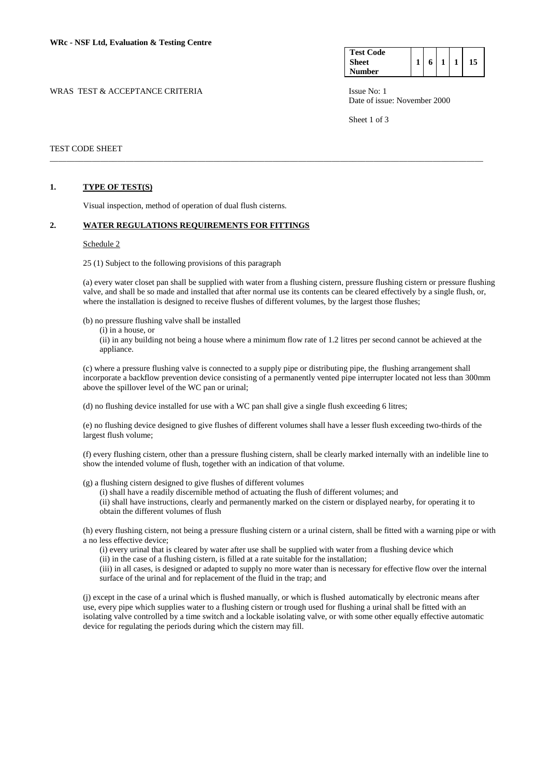| <b>Test Code</b> |   |  |  |
|------------------|---|--|--|
| <b>Sheet</b>     | 6 |  |  |
| <b>Number</b>    |   |  |  |

Date of issue: November 2000

Sheet 1 of 3

# TEST CODE SHEET

#### **1. TYPE OF TEST(S)**

Visual inspection, method of operation of dual flush cisterns.

#### **2. WATER REGULATIONS REQUIREMENTS FOR FITTINGS**

#### Schedule 2

25 (1) Subject to the following provisions of this paragraph

(a) every water closet pan shall be supplied with water from a flushing cistern, pressure flushing cistern or pressure flushing valve, and shall be so made and installed that after normal use its contents can be cleared effectively by a single flush, or, where the installation is designed to receive flushes of different volumes, by the largest those flushes;

\_\_\_\_\_\_\_\_\_\_\_\_\_\_\_\_\_\_\_\_\_\_\_\_\_\_\_\_\_\_\_\_\_\_\_\_\_\_\_\_\_\_\_\_\_\_\_\_\_\_\_\_\_\_\_\_\_\_\_\_\_\_\_\_\_\_\_\_\_\_\_\_\_\_\_\_\_\_\_\_\_\_\_\_\_\_\_\_\_\_\_\_\_\_\_\_\_\_\_\_\_\_\_

(b) no pressure flushing valve shall be installed

(i) in a house, or

 (ii) in any building not being a house where a minimum flow rate of 1.2 litres per second cannot be achieved at the appliance.

 (c) where a pressure flushing valve is connected to a supply pipe or distributing pipe, the flushing arrangement shall incorporate a backflow prevention device consisting of a permanently vented pipe interrupter located not less than 300mm above the spillover level of the WC pan or urinal;

(d) no flushing device installed for use with a WC pan shall give a single flush exceeding 6 litres;

(e) no flushing device designed to give flushes of different volumes shall have a lesser flush exceeding two-thirds of the largest flush volume;

(f) every flushing cistern, other than a pressure flushing cistern, shall be clearly marked internally with an indelible line to show the intended volume of flush, together with an indication of that volume.

(g) a flushing cistern designed to give flushes of different volumes

 (i) shall have a readily discernible method of actuating the flush of different volumes; and (ii) shall have instructions, clearly and permanently marked on the cistern or displayed nearby, for operating it to obtain the different volumes of flush

(h) every flushing cistern, not being a pressure flushing cistern or a urinal cistern, shall be fitted with a warning pipe or with a no less effective device;

(i) every urinal that is cleared by water after use shall be supplied with water from a flushing device which (ii) in the case of a flushing cistern, is filled at a rate suitable for the installation;

(iii) in all cases, is designed or adapted to supply no more water than is necessary for effective flow over the internal surface of the urinal and for replacement of the fluid in the trap; and

(j) except in the case of a urinal which is flushed manually, or which is flushed automatically by electronic means after use, every pipe which supplies water to a flushing cistern or trough used for flushing a urinal shall be fitted with an isolating valve controlled by a time switch and a lockable isolating valve, or with some other equally effective automatic device for regulating the periods during which the cistern may fill.

### WRAS TEST & ACCEPTANCE CRITERIA ISSUE No: 1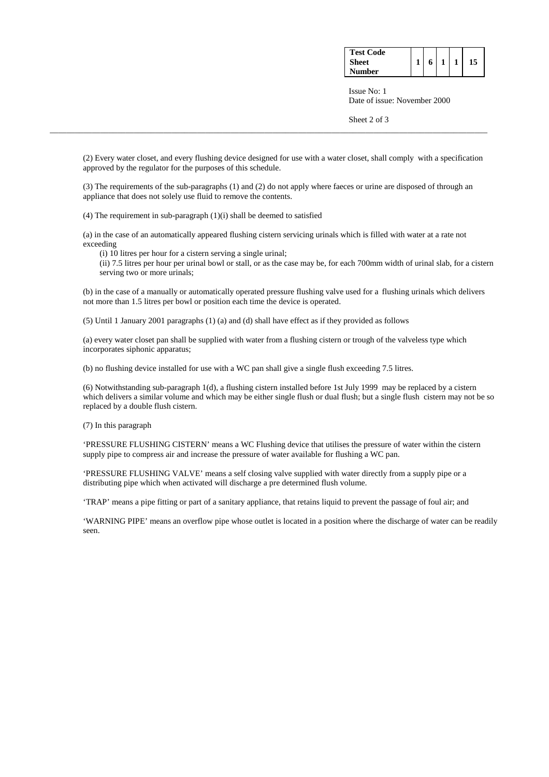| <b>Test Code</b> |  |  |    |
|------------------|--|--|----|
| Sheet            |  |  | 15 |
| <b>Number</b>    |  |  |    |

 Issue No: 1 Date of issue: November 2000

Sheet 2 of 3

(2) Every water closet, and every flushing device designed for use with a water closet, shall comply with a specification approved by the regulator for the purposes of this schedule.

\_\_\_\_\_\_\_\_\_\_\_\_\_\_\_\_\_\_\_\_\_\_\_\_\_\_\_\_\_\_\_\_\_\_\_\_\_\_\_\_\_\_\_\_\_\_\_\_\_\_\_\_\_\_\_\_\_\_\_\_\_\_\_\_\_\_\_\_\_\_\_\_\_\_\_\_\_\_\_\_\_\_\_\_\_\_\_\_\_\_\_\_\_\_\_\_\_\_\_\_\_\_\_\_

(3) The requirements of the sub-paragraphs (1) and (2) do not apply where faeces or urine are disposed of through an appliance that does not solely use fluid to remove the contents.

(4) The requirement in sub-paragraph (1)(i) shall be deemed to satisfied

(a) in the case of an automatically appeared flushing cistern servicing urinals which is filled with water at a rate not exceeding

(i) 10 litres per hour for a cistern serving a single urinal;

 (ii) 7.5 litres per hour per urinal bowl or stall, or as the case may be, for each 700mm width of urinal slab, for a cistern serving two or more urinals;

(b) in the case of a manually or automatically operated pressure flushing valve used for a flushing urinals which delivers not more than 1.5 litres per bowl or position each time the device is operated.

(5) Until 1 January 2001 paragraphs (1) (a) and (d) shall have effect as if they provided as follows

(a) every water closet pan shall be supplied with water from a flushing cistern or trough of the valveless type which incorporates siphonic apparatus;

(b) no flushing device installed for use with a WC pan shall give a single flush exceeding 7.5 litres.

(6) Notwithstanding sub-paragraph 1(d), a flushing cistern installed before 1st July 1999 may be replaced by a cistern which delivers a similar volume and which may be either single flush or dual flush; but a single flush cistern may not be so replaced by a double flush cistern.

(7) In this paragraph

'PRESSURE FLUSHING CISTERN' means a WC Flushing device that utilises the pressure of water within the cistern supply pipe to compress air and increase the pressure of water available for flushing a WC pan.

'PRESSURE FLUSHING VALVE' means a self closing valve supplied with water directly from a supply pipe or a distributing pipe which when activated will discharge a pre determined flush volume.

'TRAP' means a pipe fitting or part of a sanitary appliance, that retains liquid to prevent the passage of foul air; and

'WARNING PIPE' means an overflow pipe whose outlet is located in a position where the discharge of water can be readily seen.